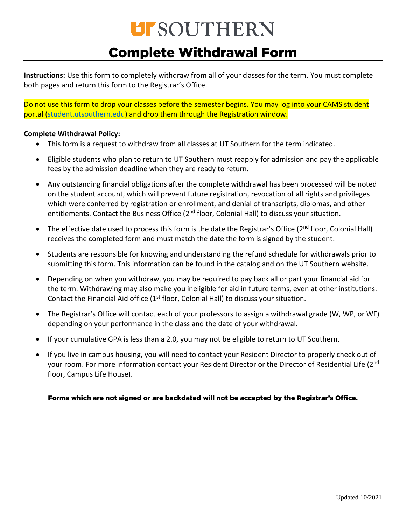## **UFSOUTHERN Complete Withdrawal Form**

**Instructions:** Use this form to completely withdraw from all of your classes for the term. You must complete both pages and return this form to the Registrar's Office.

Do not use this form to drop your classes before the semester begins. You may log into your CAMS student portal [\(student.utsouthern.edu\)](https://student.utsouthern.edu/) and drop them through the Registration window.

#### **Complete Withdrawal Policy:**

- This form is a request to withdraw from all classes at UT Southern for the term indicated.
- Eligible students who plan to return to UT Southern must reapply for admission and pay the applicable fees by the admission deadline when they are ready to return.
- Any outstanding financial obligations after the complete withdrawal has been processed will be noted on the student account, which will prevent future registration, revocation of all rights and privileges which were conferred by registration or enrollment, and denial of transcripts, diplomas, and other entitlements. Contact the Business Office (2<sup>nd</sup> floor, Colonial Hall) to discuss your situation.
- The effective date used to process this form is the date the Registrar's Office (2<sup>nd</sup> floor, Colonial Hall) receives the completed form and must match the date the form is signed by the student.
- Students are responsible for knowing and understanding the refund schedule for withdrawals prior to submitting this form. This information can be found in the catalog and on the UT Southern website.
- Depending on when you withdraw, you may be required to pay back all or part your financial aid for the term. Withdrawing may also make you ineligible for aid in future terms, even at other institutions. Contact the Financial Aid office  $(1<sup>st</sup>$  floor, Colonial Hall) to discuss your situation.
- The Registrar's Office will contact each of your professors to assign a withdrawal grade (W, WP, or WF) depending on your performance in the class and the date of your withdrawal.
- If your cumulative GPA is less than a 2.0, you may not be eligible to return to UT Southern.
- If you live in campus housing, you will need to contact your Resident Director to properly check out of your room. For more information contact your Resident Director or the Director of Residential Life (2<sup>nd</sup> floor, Campus Life House).

#### Forms which are not signed or are backdated will not be accepted by the Registrar's Office.